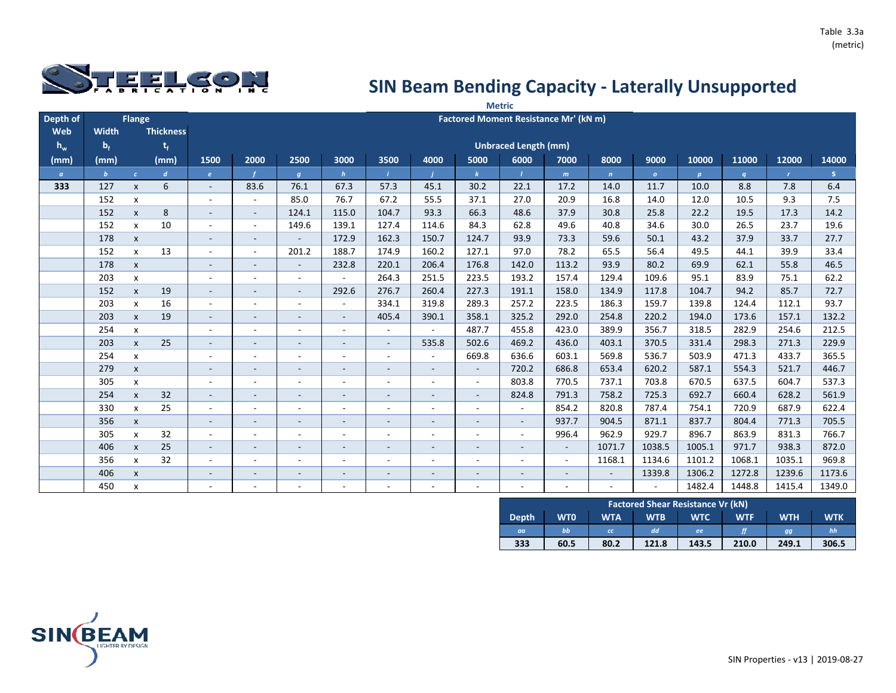

|          |              |                    |                  |                          |                          |                          |                          |                          |                          |                          | <b>Metric</b>                         |                          |                          |              |        |                  |              |             |
|----------|--------------|--------------------|------------------|--------------------------|--------------------------|--------------------------|--------------------------|--------------------------|--------------------------|--------------------------|---------------------------------------|--------------------------|--------------------------|--------------|--------|------------------|--------------|-------------|
| Depth of |              | Flange             |                  |                          |                          |                          |                          |                          |                          |                          | Factored Moment Resistance Mr' (kN m) |                          |                          |              |        |                  |              |             |
| Web      | Width        |                    | <b>Thickness</b> |                          |                          |                          |                          |                          |                          |                          |                                       |                          |                          |              |        |                  |              |             |
| $h_w$    | $b_f$        |                    | $t_{f}$          |                          |                          |                          |                          |                          |                          |                          | <b>Unbraced Length (mm)</b>           |                          |                          |              |        |                  |              |             |
| (mm)     | (mm)         |                    | (mm)             | 1500                     | 2000                     | 2500                     | 3000                     | 3500                     | 4000                     | 5000                     | 6000                                  | 7000                     | 8000                     | 9000         | 10000  | 11000            | 12000        | 14000       |
| $\alpha$ | $\mathbf{b}$ | $\epsilon$         | $\boldsymbol{d}$ | $\epsilon$               |                          | $\boldsymbol{g}$         | h                        |                          |                          | $\mathbf{k}$             |                                       | m                        | $\mathbf{n}$             | $\mathbf{o}$ | p      | $\boldsymbol{q}$ | $\mathbf{r}$ | $\mathbf S$ |
| 333      | 127          | $\pmb{\mathsf{x}}$ | 6                | $\sim$                   | 83.6                     | 76.1                     | 67.3                     | 57.3                     | 45.1                     | 30.2                     | 22.1                                  | 17.2                     | 14.0                     | 11.7         | 10.0   | 8.8              | 7.8          | 6.4         |
|          | 152          | $\pmb{\mathsf{x}}$ |                  |                          | $\overline{\phantom{a}}$ | 85.0                     | 76.7                     | 67.2                     | 55.5                     | 37.1                     | 27.0                                  | 20.9                     | 16.8                     | 14.0         | 12.0   | 10.5             | 9.3          | 7.5         |
|          | 152          | $\mathsf{x}$       | 8                | $\sim$                   | $\sim$                   | 124.1                    | 115.0                    | 104.7                    | 93.3                     | 66.3                     | 48.6                                  | 37.9                     | 30.8                     | 25.8         | 22.2   | 19.5             | 17.3         | 14.2        |
|          | 152          | $\pmb{\mathsf{X}}$ | 10               | $\sim$                   | $\overline{\phantom{a}}$ | 149.6                    | 139.1                    | 127.4                    | 114.6                    | 84.3                     | 62.8                                  | 49.6                     | 40.8                     | 34.6         | 30.0   | 26.5             | 23.7         | 19.6        |
|          | 178          | $\pmb{\mathsf{x}}$ |                  | $\sim$                   | $\overline{\phantom{a}}$ | $\sim$                   | 172.9                    | 162.3                    | 150.7                    | 124.7                    | 93.9                                  | 73.3                     | 59.6                     | 50.1         | 43.2   | 37.9             | 33.7         | 27.7        |
|          | 152          | $\mathsf{x}$       | 13               | $\sim$                   | $\sim$                   | 201.2                    | 188.7                    | 174.9                    | 160.2                    | 127.1                    | 97.0                                  | 78.2                     | 65.5                     | 56.4         | 49.5   | 44.1             | 39.9         | 33.4        |
|          | 178          | $\mathsf{x}$       |                  | $\sim$                   | $\overline{\phantom{a}}$ | $\overline{\phantom{a}}$ | 232.8                    | 220.1                    | 206.4                    | 176.8                    | 142.0                                 | 113.2                    | 93.9                     | 80.2         | 69.9   | 62.1             | 55.8         | 46.5        |
|          | 203          | $\pmb{\mathsf{X}}$ |                  | $\sim$                   | ÷.                       | $\blacksquare$           | $\mathcal{L}$            | 264.3                    | 251.5                    | 223.5                    | 193.2                                 | 157.4                    | 129.4                    | 109.6        | 95.1   | 83.9             | 75.1         | 62.2        |
|          | 152          | $\pmb{\mathsf{X}}$ | 19               | $\sim$                   | $\overline{\phantom{a}}$ | $\overline{\phantom{a}}$ | 292.6                    | 276.7                    | 260.4                    | 227.3                    | 191.1                                 | 158.0                    | 134.9                    | 117.8        | 104.7  | 94.2             | 85.7         | 72.7        |
|          | 203          | $\mathsf{x}$       | 16               | $\sim$                   | $\overline{\phantom{a}}$ | $\blacksquare$           | $\blacksquare$           | 334.1                    | 319.8                    | 289.3                    | 257.2                                 | 223.5                    | 186.3                    | 159.7        | 139.8  | 124.4            | 112.1        | 93.7        |
|          | 203          | $\mathsf{x}$       | 19               | $\sim$                   | $\overline{\phantom{a}}$ | $\overline{\phantom{a}}$ | $\overline{\phantom{a}}$ | 405.4                    | 390.1                    | 358.1                    | 325.2                                 | 292.0                    | 254.8                    | 220.2        | 194.0  | 173.6            | 157.1        | 132.2       |
|          | 254          | X                  |                  |                          | $\blacksquare$           | $\blacksquare$           | $\overline{\phantom{a}}$ | $\overline{\phantom{a}}$ |                          | 487.7                    | 455.8                                 | 423.0                    | 389.9                    | 356.7        | 318.5  | 282.9            | 254.6        | 212.5       |
|          | 203          | $\pmb{\mathsf{x}}$ | 25               |                          | $\overline{\phantom{a}}$ | $\overline{\phantom{a}}$ | $\overline{\phantom{a}}$ | $\overline{\phantom{a}}$ | 535.8                    | 502.6                    | 469.2                                 | 436.0                    | 403.1                    | 370.5        | 331.4  | 298.3            | 271.3        | 229.9       |
|          | 254          | X                  |                  |                          | $\blacksquare$           | $\blacksquare$           | $\overline{\phantom{a}}$ | $\overline{\phantom{a}}$ | $\overline{\phantom{a}}$ | 669.8                    | 636.6                                 | 603.1                    | 569.8                    | 536.7        | 503.9  | 471.3            | 433.7        | 365.5       |
|          | 279          | $\pmb{\mathsf{x}}$ |                  |                          | $\overline{\phantom{a}}$ | $\overline{\phantom{a}}$ | $\overline{\phantom{a}}$ | ٠                        | $\overline{\phantom{a}}$ | $\sim$                   | 720.2                                 | 686.8                    | 653.4                    | 620.2        | 587.1  | 554.3            | 521.7        | 446.7       |
|          | 305          | X                  |                  |                          | $\blacksquare$           | $\overline{a}$           | $\sim$                   | $\blacksquare$           | $\overline{\phantom{a}}$ | $\sim$                   | 803.8                                 | 770.5                    | 737.1                    | 703.8        | 670.5  | 637.5            | 604.7        | 537.3       |
|          | 254          | $\pmb{\mathsf{x}}$ | 32               | $\sim$                   | $\overline{\phantom{a}}$ | $\overline{\phantom{a}}$ | $\sim$                   | $\overline{\phantom{a}}$ | $\overline{\phantom{a}}$ | $\sim$                   | 824.8                                 | 791.3                    | 758.2                    | 725.3        | 692.7  | 660.4            | 628.2        | 561.9       |
|          | 330          | $\mathsf{x}$       | 25               | $\sim$                   | $\overline{\phantom{a}}$ | $\overline{\phantom{a}}$ | $\overline{\phantom{a}}$ | $\sim$                   | $\sim$                   | $\sim$                   | $\sim$                                | 854.2                    | 820.8                    | 787.4        | 754.1  | 720.9            | 687.9        | 622.4       |
|          | 356          | $\pmb{\mathsf{x}}$ |                  | $\sim$                   | $\overline{\phantom{a}}$ | $\overline{\phantom{a}}$ | $\sim$                   | $\overline{\phantom{a}}$ | $\overline{\phantom{a}}$ | $\sim$                   | $\sim$                                | 937.7                    | 904.5                    | 871.1        | 837.7  | 804.4            | 771.3        | 705.5       |
|          | 305          | $\pmb{\mathsf{X}}$ | 32               | $\sim$                   | $\overline{\phantom{a}}$ | $\overline{\phantom{a}}$ | $\overline{\phantom{a}}$ | $\overline{\phantom{a}}$ | ٠                        | $\overline{\phantom{a}}$ | $\overline{\phantom{a}}$              | 996.4                    | 962.9                    | 929.7        | 896.7  | 863.9            | 831.3        | 766.7       |
|          | 406          | $\mathsf{x}$       | 25               | $\sim$                   | $\overline{\phantom{a}}$ | $\overline{\phantom{a}}$ | $\overline{\phantom{a}}$ | $\overline{\phantom{a}}$ | $\overline{\phantom{a}}$ | $\sim$                   | $\overline{\phantom{a}}$              | $\overline{\phantom{a}}$ | 1071.7                   | 1038.5       | 1005.1 | 971.7            | 938.3        | 872.0       |
|          | 356          | X                  | 32               | $\overline{\phantom{a}}$ | $\overline{\phantom{a}}$ | $\overline{\phantom{a}}$ | $\overline{\phantom{a}}$ | $\overline{a}$           | ٠                        | $\overline{\phantom{a}}$ | $\overline{\phantom{a}}$              | $\overline{\phantom{a}}$ | 1168.1                   | 1134.6       | 1101.2 | 1068.1           | 1035.1       | 969.8       |
|          | 406          | $\pmb{\mathsf{x}}$ |                  | $\sim$                   | $\overline{\phantom{a}}$ | $\overline{\phantom{a}}$ | $\sim$                   | $\overline{\phantom{a}}$ | $\overline{\phantom{a}}$ | $\sim$                   | $\overline{\phantom{a}}$              | $\sim$                   | $\overline{\phantom{a}}$ | 1339.8       | 1306.2 | 1272.8           | 1239.6       | 1173.6      |
|          | 450          | x                  |                  |                          |                          |                          |                          |                          |                          |                          | $\overline{\phantom{a}}$              | ÷,                       |                          |              | 1482.4 | 1448.8           | 1415.4       | 1349.0      |

|              |            |            |            | <b>Factored Shear Resistance Vr (kN)</b> |            |            |            |
|--------------|------------|------------|------------|------------------------------------------|------------|------------|------------|
| <b>Depth</b> | <b>WTO</b> | <b>WTA</b> | <b>WTB</b> | <b>WTC</b>                               | <b>WTF</b> | <b>WTH</b> | <b>WTK</b> |
| aa           | bb         | cc         | dd         | ee                                       |            | gg         | hh         |
| 333          | 60.5       | 80.2       | 121.8      | 143.5                                    | 210.0      | 249.1      | 306.5      |

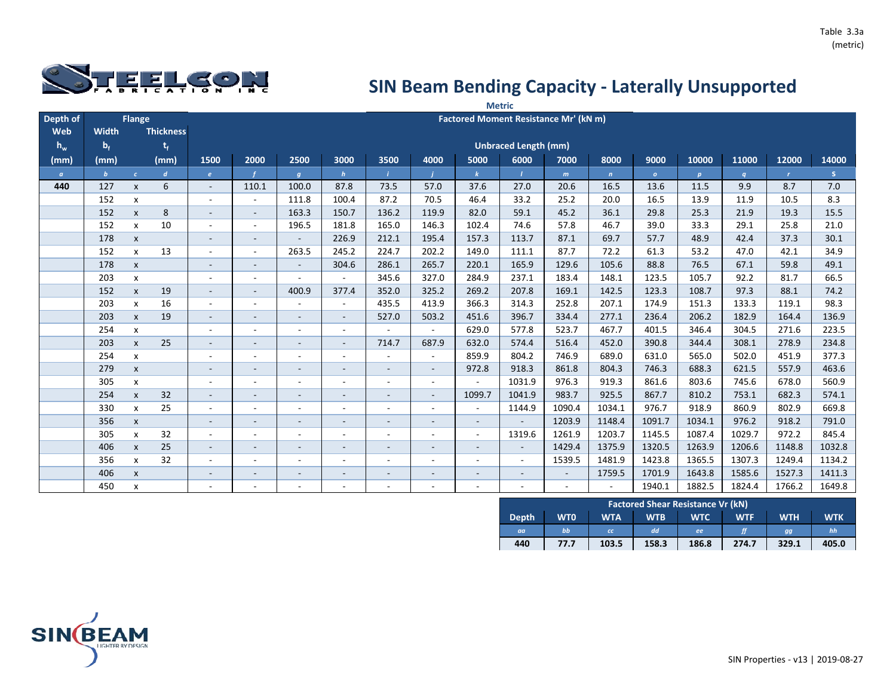

|          |              |                           |                  |                          |                          |                          |                          |                          |                          |                          | <b>Metric</b>               |                                       |              |              |                  |                  |              |        |
|----------|--------------|---------------------------|------------------|--------------------------|--------------------------|--------------------------|--------------------------|--------------------------|--------------------------|--------------------------|-----------------------------|---------------------------------------|--------------|--------------|------------------|------------------|--------------|--------|
| Depth of |              | <b>Flange</b>             |                  |                          |                          |                          |                          |                          |                          |                          |                             | Factored Moment Resistance Mr' (kN m) |              |              |                  |                  |              |        |
| Web      | Width        |                           | <b>Thickness</b> |                          |                          |                          |                          |                          |                          |                          |                             |                                       |              |              |                  |                  |              |        |
| $h_w$    | $b_f$        |                           | t,               |                          |                          |                          |                          |                          |                          |                          | <b>Unbraced Length (mm)</b> |                                       |              |              |                  |                  |              |        |
| (mm)     | (mm)         |                           | (mm)             | 1500                     | 2000                     | 2500                     | 3000                     | 3500                     | 4000                     | 5000                     | 6000                        | 7000                                  | 8000         | 9000         | 10000            | 11000            | 12000        | 14000  |
| $\alpha$ | $\mathbf{b}$ | $\epsilon$                | $\boldsymbol{d}$ | $\epsilon$               |                          | $\boldsymbol{g}$         | $\mathbf h$              |                          |                          | $\mathbf{k}$             | $\mathbf{I}$                | m                                     | $\mathbf{n}$ | $\mathbf{o}$ | $\boldsymbol{p}$ | $\boldsymbol{q}$ | $\mathbf{r}$ | S      |
| 440      | 127          | $\mathsf{x}$              | 6                | $\sim$                   | 110.1                    | 100.0                    | 87.8                     | 73.5                     | 57.0                     | 37.6                     | 27.0                        | 20.6                                  | 16.5         | 13.6         | 11.5             | 9.9              | 8.7          | 7.0    |
|          | 152          | $\pmb{\mathsf{x}}$        |                  | $\overline{\phantom{a}}$ | $\sim$                   | 111.8                    | 100.4                    | 87.2                     | 70.5                     | 46.4                     | 33.2                        | 25.2                                  | 20.0         | 16.5         | 13.9             | 11.9             | 10.5         | 8.3    |
|          | 152          | $\mathsf{x}$              | 8                | $\sim$                   | $\overline{\phantom{a}}$ | 163.3                    | 150.7                    | 136.2                    | 119.9                    | 82.0                     | 59.1                        | 45.2                                  | 36.1         | 29.8         | 25.3             | 21.9             | 19.3         | 15.5   |
|          | 152          | $\mathsf{x}$              | 10               | $\overline{\phantom{a}}$ | $\sim$                   | 196.5                    | 181.8                    | 165.0                    | 146.3                    | 102.4                    | 74.6                        | 57.8                                  | 46.7         | 39.0         | 33.3             | 29.1             | 25.8         | 21.0   |
|          | 178          | $\pmb{\mathsf{x}}$        |                  | $\overline{\phantom{a}}$ | $\sim$                   | $\overline{\phantom{a}}$ | 226.9                    | 212.1                    | 195.4                    | 157.3                    | 113.7                       | 87.1                                  | 69.7         | 57.7         | 48.9             | 42.4             | 37.3         | 30.1   |
|          | 152          | $\mathsf{x}$              | 13               |                          | $\sim$                   | 263.5                    | 245.2                    | 224.7                    | 202.2                    | 149.0                    | 111.1                       | 87.7                                  | 72.2         | 61.3         | 53.2             | 47.0             | 42.1         | 34.9   |
|          | 178          | $\pmb{\mathsf{x}}$        |                  | $\overline{\phantom{a}}$ | $\overline{\phantom{a}}$ | $\overline{\phantom{a}}$ | 304.6                    | 286.1                    | 265.7                    | 220.1                    | 165.9                       | 129.6                                 | 105.6        | 88.8         | 76.5             | 67.1             | 59.8         | 49.1   |
|          | 203          | $\mathsf{x}$              |                  | $\sim$                   | $\sim$                   | $\sim$                   | $\blacksquare$           | 345.6                    | 327.0                    | 284.9                    | 237.1                       | 183.4                                 | 148.1        | 123.5        | 105.7            | 92.2             | 81.7         | 66.5   |
|          | 152          | $\mathsf{x}$              | 19               | $\overline{\phantom{a}}$ |                          | 400.9                    | 377.4                    | 352.0                    | 325.2                    | 269.2                    | 207.8                       | 169.1                                 | 142.5        | 123.3        | 108.7            | 97.3             | 88.1         | 74.2   |
|          | 203          | $\mathsf{x}$              | 16               | $\overline{\phantom{a}}$ |                          | $\overline{\phantom{a}}$ | $\blacksquare$           | 435.5                    | 413.9                    | 366.3                    | 314.3                       | 252.8                                 | 207.1        | 174.9        | 151.3            | 133.3            | 119.1        | 98.3   |
|          | 203          | $\mathsf{x}$              | 19               |                          |                          | $\overline{\phantom{0}}$ | $\overline{\phantom{a}}$ | 527.0                    | 503.2                    | 451.6                    | 396.7                       | 334.4                                 | 277.1        | 236.4        | 206.2            | 182.9            | 164.4        | 136.9  |
|          | 254          | $\boldsymbol{\mathsf{x}}$ |                  |                          |                          | ٠                        | $\overline{\phantom{a}}$ |                          | $\overline{\phantom{a}}$ | 629.0                    | 577.8                       | 523.7                                 | 467.7        | 401.5        | 346.4            | 304.5            | 271.6        | 223.5  |
|          | 203          | $\mathsf{x}$              | 25               |                          | $\overline{\phantom{a}}$ | $\overline{\phantom{a}}$ | $\overline{\phantom{a}}$ | 714.7                    | 687.9                    | 632.0                    | 574.4                       | 516.4                                 | 452.0        | 390.8        | 344.4            | 308.1            | 278.9        | 234.8  |
|          | 254          | $\pmb{\mathsf{x}}$        |                  | $\overline{\phantom{a}}$ | $\blacksquare$           | $\overline{\phantom{a}}$ | $\overline{\phantom{a}}$ | $\sim$                   | $\overline{\phantom{a}}$ | 859.9                    | 804.2                       | 746.9                                 | 689.0        | 631.0        | 565.0            | 502.0            | 451.9        | 377.3  |
|          | 279          | $\mathsf{x}$              |                  | $\overline{\phantom{a}}$ | $\overline{\phantom{a}}$ | $\sim$                   | $\overline{\phantom{a}}$ | $\sim$                   | $\sim$                   | 972.8                    | 918.3                       | 861.8                                 | 804.3        | 746.3        | 688.3            | 621.5            | 557.9        | 463.6  |
|          | 305          | $\mathsf{x}$              |                  | $\overline{\phantom{a}}$ | $\blacksquare$           | ÷                        | $\overline{\phantom{a}}$ | $\sim$                   | $\blacksquare$           | $\overline{\phantom{a}}$ | 1031.9                      | 976.3                                 | 919.3        | 861.6        | 803.6            | 745.6            | 678.0        | 560.9  |
|          | 254          | $\pmb{\mathsf{x}}$        | 32               | $\overline{\phantom{a}}$ | $\sim$                   | $\overline{\phantom{a}}$ | $\overline{\phantom{a}}$ | $\sim$                   | $\sim$                   | 1099.7                   | 1041.9                      | 983.7                                 | 925.5        | 867.7        | 810.2            | 753.1            | 682.3        | 574.1  |
|          | 330          | $\mathsf{x}$              | 25               |                          | $\overline{\phantom{a}}$ | ۰                        | $\overline{\phantom{a}}$ | $\overline{\phantom{a}}$ | $\overline{\phantom{a}}$ | $\overline{\phantom{a}}$ | 1144.9                      | 1090.4                                | 1034.1       | 976.7        | 918.9            | 860.9            | 802.9        | 669.8  |
|          | 356          | $\pmb{\mathsf{X}}$        |                  | $\overline{\phantom{a}}$ | $\blacksquare$           | $\sim$                   | $\overline{\phantom{a}}$ | $\overline{\phantom{a}}$ | $\overline{\phantom{a}}$ | $\overline{\phantom{a}}$ | $\blacksquare$              | 1203.9                                | 1148.4       | 1091.7       | 1034.1           | 976.2            | 918.2        | 791.0  |
|          | 305          | X                         | 32               |                          | $\blacksquare$           | ÷                        | $\overline{\phantom{a}}$ |                          | ÷                        | $\overline{\phantom{a}}$ | 1319.6                      | 1261.9                                | 1203.7       | 1145.5       | 1087.4           | 1029.7           | 972.2        | 845.4  |
|          | 406          | $\pmb{\mathsf{X}}$        | 25               | $\overline{\phantom{a}}$ | $\overline{\phantom{a}}$ | $\overline{\phantom{a}}$ | $\overline{\phantom{a}}$ | $\overline{\phantom{a}}$ | $\overline{\phantom{a}}$ | $\overline{\phantom{a}}$ | $\sim$                      | 1429.4                                | 1375.9       | 1320.5       | 1263.9           | 1206.6           | 1148.8       | 1032.8 |
|          | 356          | X                         | 32               |                          |                          |                          |                          |                          | $\overline{a}$           |                          | $\sim$                      | 1539.5                                | 1481.9       | 1423.8       | 1365.5           | 1307.3           | 1249.4       | 1134.2 |
|          | 406          | $\pmb{\mathsf{X}}$        |                  | $\overline{\phantom{a}}$ | -                        | $\overline{\phantom{0}}$ | $\overline{\phantom{a}}$ | $\overline{\phantom{a}}$ | $\overline{\phantom{a}}$ | $\overline{\phantom{a}}$ | $\overline{\phantom{a}}$    | $\overline{\phantom{a}}$              | 1759.5       | 1701.9       | 1643.8           | 1585.6           | 1527.3       | 1411.3 |
|          | 450          | X                         |                  |                          |                          | ۰                        |                          |                          | ٠                        | $\overline{\phantom{a}}$ | $\sim$                      | L,                                    |              | 1940.1       | 1882.5           | 1824.4           | 1766.2       | 1649.8 |

|              |            |            |            | <b>Factored Shear Resistance Vr (kN)</b> |            |            |            |
|--------------|------------|------------|------------|------------------------------------------|------------|------------|------------|
| <b>Depth</b> | <b>WTO</b> | <b>WTA</b> | <b>WTB</b> | <b>WTC</b>                               | <b>WTF</b> | <b>WTH</b> | <b>WTK</b> |
| aa           | bb         | <b>CC</b>  | dd         | ee                                       |            | gg         | hh         |
| 440          | 77.7       | 103.5      | 158.3      | 186.8                                    | 274.7      | 329.1      | 405.0      |

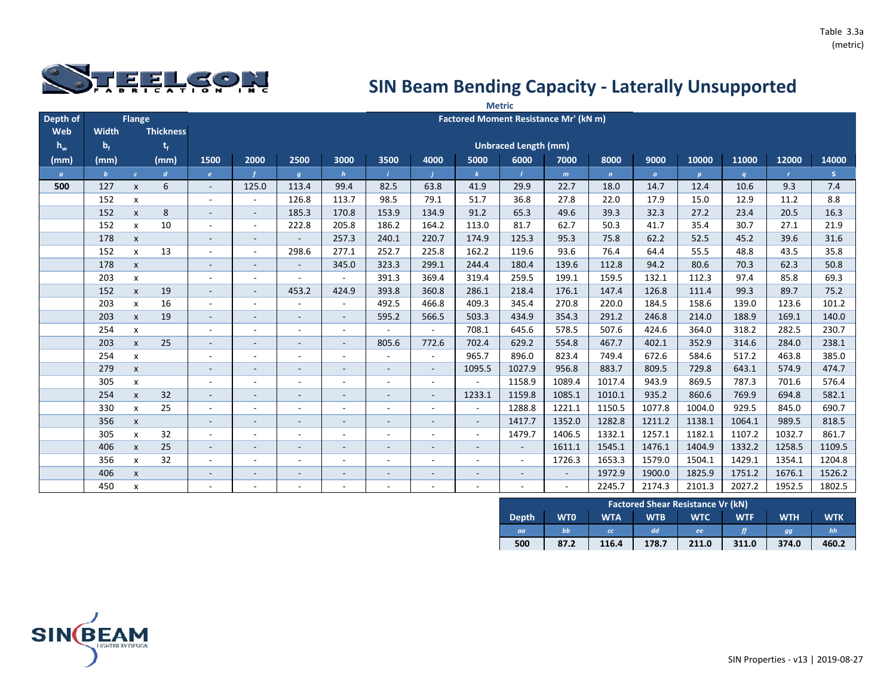

|                |              |                    |                  |                          |                          |                          |                          |                          |                          |                          | <b>Metric</b>               |                                       |              |              |                  |                  |              |        |
|----------------|--------------|--------------------|------------------|--------------------------|--------------------------|--------------------------|--------------------------|--------------------------|--------------------------|--------------------------|-----------------------------|---------------------------------------|--------------|--------------|------------------|------------------|--------------|--------|
| Depth of       |              | Flange             |                  |                          |                          |                          |                          |                          |                          |                          |                             | Factored Moment Resistance Mr' (kN m) |              |              |                  |                  |              |        |
| Web            | <b>Width</b> |                    | <b>Thickness</b> |                          |                          |                          |                          |                          |                          |                          |                             |                                       |              |              |                  |                  |              |        |
| $h_w$          | $b_f$        |                    | $t_{f}$          |                          |                          |                          |                          |                          |                          |                          | <b>Unbraced Length (mm)</b> |                                       |              |              |                  |                  |              |        |
| (mm)           | (mm)         |                    | (mm)             | 1500                     | 2000                     | 2500                     | 3000                     | 3500                     | 4000                     | 5000                     | 6000                        | 7000                                  | 8000         | 9000         | 10000            | 11000            | 12000        | 14000  |
| $\mathfrak{a}$ | $\mathbf{b}$ | $\epsilon$         | $\boldsymbol{d}$ | $\pmb{e}$                |                          | $\boldsymbol{g}$         | $\mathbf h$              |                          |                          | $\mathbf{k}$             | $\mathbf{I}$                | m                                     | $\mathbf{n}$ | $\mathbf{o}$ | $\boldsymbol{p}$ | $\boldsymbol{q}$ | $\mathbf{r}$ | S.     |
| 500            | 127          | $\mathsf{x}$       | 6                | $\overline{\phantom{a}}$ | 125.0                    | 113.4                    | 99.4                     | 82.5                     | 63.8                     | 41.9                     | 29.9                        | 22.7                                  | 18.0         | 14.7         | 12.4             | 10.6             | 9.3          | 7.4    |
|                | 152          | $\pmb{\mathsf{x}}$ |                  |                          |                          | 126.8                    | 113.7                    | 98.5                     | 79.1                     | 51.7                     | 36.8                        | 27.8                                  | 22.0         | 17.9         | 15.0             | 12.9             | 11.2         | 8.8    |
|                | 152          | $\mathsf{x}$       | 8                | $\overline{\phantom{a}}$ | $\sim$                   | 185.3                    | 170.8                    | 153.9                    | 134.9                    | 91.2                     | 65.3                        | 49.6                                  | 39.3         | 32.3         | 27.2             | 23.4             | 20.5         | 16.3   |
|                | 152          | $\pmb{\mathsf{x}}$ | 10               | $\overline{\phantom{a}}$ | $\sim$                   | 222.8                    | 205.8                    | 186.2                    | 164.2                    | 113.0                    | 81.7                        | 62.7                                  | 50.3         | 41.7         | 35.4             | 30.7             | 27.1         | 21.9   |
|                | 178          | $\pmb{\mathsf{x}}$ |                  | $\overline{\phantom{a}}$ | $\sim$                   | $\sim$                   | 257.3                    | 240.1                    | 220.7                    | 174.9                    | 125.3                       | 95.3                                  | 75.8         | 62.2         | 52.5             | 45.2             | 39.6         | 31.6   |
|                | 152          | $\mathsf{x}$       | 13               | $\overline{\phantom{a}}$ | $\sim$                   | 298.6                    | 277.1                    | 252.7                    | 225.8                    | 162.2                    | 119.6                       | 93.6                                  | 76.4         | 64.4         | 55.5             | 48.8             | 43.5         | 35.8   |
|                | 178          | $\pmb{\mathsf{x}}$ |                  | $\overline{\phantom{a}}$ | $\sim$                   | $\blacksquare$           | 345.0                    | 323.3                    | 299.1                    | 244.4                    | 180.4                       | 139.6                                 | 112.8        | 94.2         | 80.6             | 70.3             | 62.3         | 50.8   |
|                | 203          | $\pmb{\mathsf{X}}$ |                  | $\sim$                   | $\sim$                   | $\sim$                   | $\overline{\phantom{a}}$ | 391.3                    | 369.4                    | 319.4                    | 259.5                       | 199.1                                 | 159.5        | 132.1        | 112.3            | 97.4             | 85.8         | 69.3   |
|                | 152          | $\mathsf{x}$       | 19               |                          | $\overline{\phantom{a}}$ | 453.2                    | 424.9                    | 393.8                    | 360.8                    | 286.1                    | 218.4                       | 176.1                                 | 147.4        | 126.8        | 111.4            | 99.3             | 89.7         | 75.2   |
|                | 203          | $\mathsf{x}$       | 16               |                          | $\overline{\phantom{a}}$ | $\overline{a}$           | $\overline{\phantom{a}}$ | 492.5                    | 466.8                    | 409.3                    | 345.4                       | 270.8                                 | 220.0        | 184.5        | 158.6            | 139.0            | 123.6        | 101.2  |
|                | 203          | $\pmb{\mathsf{X}}$ | 19               |                          |                          | $\overline{\phantom{a}}$ | $\overline{\phantom{a}}$ | 595.2                    | 566.5                    | 503.3                    | 434.9                       | 354.3                                 | 291.2        | 246.8        | 214.0            | 188.9            | 169.1        | 140.0  |
|                | 254          | $\mathsf{x}$       |                  |                          |                          | ٠                        | $\overline{\phantom{a}}$ |                          | $\overline{\phantom{a}}$ | 708.1                    | 645.6                       | 578.5                                 | 507.6        | 424.6        | 364.0            | 318.2            | 282.5        | 230.7  |
|                | 203          | $\pmb{\mathsf{X}}$ | 25               |                          |                          | $\overline{\phantom{a}}$ | $\overline{\phantom{a}}$ | 805.6                    | 772.6                    | 702.4                    | 629.2                       | 554.8                                 | 467.7        | 402.1        | 352.9            | 314.6            | 284.0        | 238.1  |
|                | 254          | X                  |                  |                          |                          | ۰                        | $\overline{\phantom{a}}$ |                          | $\overline{\phantom{a}}$ | 965.7                    | 896.0                       | 823.4                                 | 749.4        | 672.6        | 584.6            | 517.2            | 463.8        | 385.0  |
|                | 279          | $\mathsf{x}$       |                  |                          | -                        | $\overline{\phantom{a}}$ |                          | $\sim$                   | $\sim$                   | 1095.5                   | 1027.9                      | 956.8                                 | 883.7        | 809.5        | 729.8            | 643.1            | 574.9        | 474.7  |
|                | 305          | $\mathsf{x}$       |                  |                          |                          | ٠                        |                          | $\overline{\phantom{a}}$ | $\blacksquare$           |                          | 1158.9                      | 1089.4                                | 1017.4       | 943.9        | 869.5            | 787.3            | 701.6        | 576.4  |
|                | 254          | $\mathsf{x}$       | 32               | $\overline{\phantom{a}}$ | $\sim$                   | $\overline{\phantom{a}}$ | $\overline{\phantom{a}}$ | $\overline{\phantom{a}}$ | $\overline{\phantom{a}}$ | 1233.1                   | 1159.8                      | 1085.1                                | 1010.1       | 935.2        | 860.6            | 769.9            | 694.8        | 582.1  |
|                | 330          | $\mathsf{x}$       | 25               | $\overline{\phantom{a}}$ |                          | ۰                        | $\overline{\phantom{a}}$ | $\overline{\phantom{a}}$ | $\sim$                   | $\overline{\phantom{a}}$ | 1288.8                      | 1221.1                                | 1150.5       | 1077.8       | 1004.0           | 929.5            | 845.0        | 690.7  |
|                | 356          | $\pmb{\mathsf{x}}$ |                  | $\overline{\phantom{a}}$ | $\overline{\phantom{a}}$ | $\overline{\phantom{0}}$ | $\overline{\phantom{a}}$ | $\sim$                   | $\sim$                   | $\sim$                   | 1417.7                      | 1352.0                                | 1282.8       | 1211.2       | 1138.1           | 1064.1           | 989.5        | 818.5  |
|                | 305          | X                  | 32               | $\overline{\phantom{a}}$ |                          | $\overline{\phantom{a}}$ | $\overline{\phantom{a}}$ | $\overline{\phantom{a}}$ | $\overline{\phantom{a}}$ | $\overline{\phantom{a}}$ | 1479.7                      | 1406.5                                | 1332.1       | 1257.1       | 1182.1           | 1107.2           | 1032.7       | 861.7  |
|                | 406          | $\mathsf{x}$       | 25               | $\sim$                   | $\sim$                   | $\sim$                   | $\overline{\phantom{a}}$ | $\overline{\phantom{a}}$ | $\overline{\phantom{a}}$ | $\overline{\phantom{a}}$ | $\overline{\phantom{a}}$    | 1611.1                                | 1545.1       | 1476.1       | 1404.9           | 1332.2           | 1258.5       | 1109.5 |
|                | 356          | X                  | 32               |                          | $\overline{\phantom{a}}$ | $\overline{\phantom{0}}$ | ۰                        | $\overline{\phantom{a}}$ | -                        | $\overline{\phantom{a}}$ | $\sim$                      | 1726.3                                | 1653.3       | 1579.0       | 1504.1           | 1429.1           | 1354.1       | 1204.8 |
|                | 406          | $\pmb{\mathsf{x}}$ |                  | $\overline{\phantom{a}}$ | $\overline{\phantom{a}}$ | $\overline{\phantom{a}}$ | $\overline{\phantom{a}}$ | $\sim$                   | $\overline{\phantom{a}}$ | $\overline{\phantom{a}}$ | $\sim$                      | $\overline{\phantom{a}}$              | 1972.9       | 1900.0       | 1825.9           | 1751.2           | 1676.1       | 1526.2 |
|                | 450          | X                  |                  |                          |                          |                          |                          |                          |                          |                          |                             | ÷,                                    | 2245.7       | 2174.3       | 2101.3           | 2027.2           | 1952.5       | 1802.5 |

|              |            |            |            | <b>Factored Shear Resistance Vr (kN)</b> |            |            |            |
|--------------|------------|------------|------------|------------------------------------------|------------|------------|------------|
| <b>Depth</b> | <b>WTO</b> | <b>WTA</b> | <b>WTB</b> | <b>WTC</b>                               | <b>WTF</b> | <b>WTH</b> | <b>WTK</b> |
| aa           | bb         | <b>CC</b>  | dd         | ee                                       |            | gg         | hh         |
| 500          | 87.2       | 116.4      | 178.7      | 211.0                                    | 311.0      | 374.0      | 460.2      |

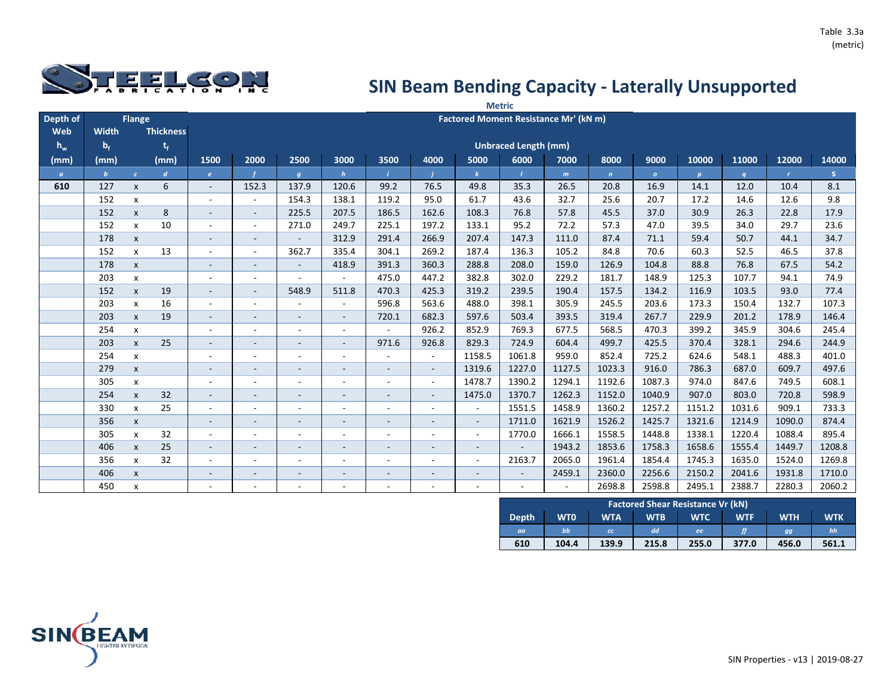

|          |              |                    |                  |                          |                          |                          |                          |                          |                          |                          | <b>Metric</b>               |                                       |              |              |              |                  |              |        |
|----------|--------------|--------------------|------------------|--------------------------|--------------------------|--------------------------|--------------------------|--------------------------|--------------------------|--------------------------|-----------------------------|---------------------------------------|--------------|--------------|--------------|------------------|--------------|--------|
| Depth of |              | Flange             |                  |                          |                          |                          |                          |                          |                          |                          |                             | Factored Moment Resistance Mr' (kN m) |              |              |              |                  |              |        |
| Web      | <b>Width</b> |                    | <b>Thickness</b> |                          |                          |                          |                          |                          |                          |                          |                             |                                       |              |              |              |                  |              |        |
| $h_w$    | $b_f$        |                    | $t_{f}$          |                          |                          |                          |                          |                          |                          |                          | <b>Unbraced Length (mm)</b> |                                       |              |              |              |                  |              |        |
| (mm)     | (mm)         |                    | (mm)             | 1500                     | 2000                     | 2500                     | 3000                     | 3500                     | 4000                     | 5000                     | 6000                        | 7000                                  | 8000         | 9000         | 10000        | 11000            | 12000        | 14000  |
| $\alpha$ | $\mathbf{b}$ | $\epsilon$         | $\boldsymbol{d}$ | $\pmb{e}$                |                          | $\boldsymbol{g}$         | $\mathbf{h}$             |                          |                          | $\mathbf{k}$             |                             | m                                     | $\mathbf{n}$ | $\mathbf{o}$ | $\mathbf{p}$ | $\boldsymbol{q}$ | $\mathbf{r}$ | S.     |
| 610      | 127          | $\mathsf{x}$       | 6                | $\overline{\phantom{a}}$ | 152.3                    | 137.9                    | 120.6                    | 99.2                     | 76.5                     | 49.8                     | 35.3                        | 26.5                                  | 20.8         | 16.9         | 14.1         | 12.0             | 10.4         | 8.1    |
|          | 152          | $\mathsf{x}$       |                  |                          |                          | 154.3                    | 138.1                    | 119.2                    | 95.0                     | 61.7                     | 43.6                        | 32.7                                  | 25.6         | 20.7         | 17.2         | 14.6             | 12.6         | 9.8    |
|          | 152          | $\mathsf{x}$       | 8                | $\sim$                   | $\sim$                   | 225.5                    | 207.5                    | 186.5                    | 162.6                    | 108.3                    | 76.8                        | 57.8                                  | 45.5         | 37.0         | 30.9         | 26.3             | 22.8         | 17.9   |
|          | 152          | $\mathsf{x}$       | 10               |                          | $\sim$                   | 271.0                    | 249.7                    | 225.1                    | 197.2                    | 133.1                    | 95.2                        | 72.2                                  | 57.3         | 47.0         | 39.5         | 34.0             | 29.7         | 23.6   |
|          | 178          | $\mathsf{x}$       |                  | $\overline{\phantom{a}}$ | ۰                        | $\sim$                   | 312.9                    | 291.4                    | 266.9                    | 207.4                    | 147.3                       | 111.0                                 | 87.4         | 71.1         | 59.4         | 50.7             | 44.1         | 34.7   |
|          | 152          | $\pmb{\mathsf{x}}$ | 13               | $\overline{\phantom{a}}$ | $\sim$                   | 362.7                    | 335.4                    | 304.1                    | 269.2                    | 187.4                    | 136.3                       | 105.2                                 | 84.8         | 70.6         | 60.3         | 52.5             | 46.5         | 37.8   |
|          | 178          | $\pmb{\mathsf{X}}$ |                  | $\overline{\phantom{a}}$ | $\overline{\phantom{a}}$ | $\sim$                   | 418.9                    | 391.3                    | 360.3                    | 288.8                    | 208.0                       | 159.0                                 | 126.9        | 104.8        | 88.8         | 76.8             | 67.5         | 54.2   |
|          | 203          | $\pmb{\mathsf{X}}$ |                  | $\overline{\phantom{a}}$ | ÷.                       | $\sim$                   | $\sim$                   | 475.0                    | 447.2                    | 382.8                    | 302.0                       | 229.2                                 | 181.7        | 148.9        | 125.3        | 107.7            | 94.1         | 74.9   |
|          | 152          | $\pmb{\mathsf{X}}$ | 19               | $\sim$                   | $\sim$                   | 548.9                    | 511.8                    | 470.3                    | 425.3                    | 319.2                    | 239.5                       | 190.4                                 | 157.5        | 134.2        | 116.9        | 103.5            | 93.0         | 77.4   |
|          | 203          | $\pmb{\mathsf{x}}$ | 16               | $\overline{\phantom{a}}$ | $\sim$                   | ۰                        | $\blacksquare$           | 596.8                    | 563.6                    | 488.0                    | 398.1                       | 305.9                                 | 245.5        | 203.6        | 173.3        | 150.4            | 132.7        | 107.3  |
|          | 203          | $\pmb{\mathsf{X}}$ | 19               |                          | $\overline{\phantom{a}}$ | $\sim$                   | $\overline{\phantom{a}}$ | 720.1                    | 682.3                    | 597.6                    | 503.4                       | 393.5                                 | 319.4        | 267.7        | 229.9        | 201.2            | 178.9        | 146.4  |
|          | 254          | $\mathsf{x}$       |                  |                          |                          | $\sim$                   | $\overline{\phantom{a}}$ | $\sim$                   | 926.2                    | 852.9                    | 769.3                       | 677.5                                 | 568.5        | 470.3        | 399.2        | 345.9            | 304.6        | 245.4  |
|          | 203          | $\pmb{\mathsf{x}}$ | 25               | $\overline{\phantom{a}}$ | $\overline{\phantom{a}}$ | $\overline{\phantom{a}}$ | $\overline{\phantom{a}}$ | 971.6                    | 926.8                    | 829.3                    | 724.9                       | 604.4                                 | 499.7        | 425.5        | 370.4        | 328.1            | 294.6        | 244.9  |
|          | 254          | X                  |                  |                          |                          | ۰                        | $\overline{\phantom{a}}$ |                          | $\overline{\phantom{a}}$ | 1158.5                   | 1061.8                      | 959.0                                 | 852.4        | 725.2        | 624.6        | 548.1            | 488.3        | 401.0  |
|          | 279          | $\pmb{\mathsf{X}}$ |                  |                          |                          | $\overline{\phantom{a}}$ |                          | $\overline{\phantom{a}}$ | $\sim$                   | 1319.6                   | 1227.0                      | 1127.5                                | 1023.3       | 916.0        | 786.3        | 687.0            | 609.7        | 497.6  |
|          | 305          | X                  |                  |                          |                          | ۰                        |                          | $\overline{\phantom{a}}$ | $\sim$                   | 1478.7                   | 1390.2                      | 1294.1                                | 1192.6       | 1087.3       | 974.0        | 847.6            | 749.5        | 608.1  |
|          | 254          | $\mathsf{x}$       | 32               |                          |                          | $\overline{\phantom{0}}$ |                          | $\sim$                   | $\sim$                   | 1475.0                   | 1370.7                      | 1262.3                                | 1152.0       | 1040.9       | 907.0        | 803.0            | 720.8        | 598.9  |
|          | 330          | $\mathsf{x}$       | 25               | $\overline{\phantom{a}}$ | $\blacksquare$           | ۰                        | $\overline{\phantom{a}}$ | $\overline{\phantom{a}}$ | $\overline{\phantom{a}}$ | $\blacksquare$           | 1551.5                      | 1458.9                                | 1360.2       | 1257.2       | 1151.2       | 1031.6           | 909.1        | 733.3  |
|          | 356          | $\mathsf{x}$       |                  |                          | $\overline{\phantom{a}}$ | Ξ.                       | $\overline{\phantom{a}}$ | $\overline{\phantom{a}}$ | $\sim$                   | $\blacksquare$           | 1711.0                      | 1621.9                                | 1526.2       | 1425.7       | 1321.6       | 1214.9           | 1090.0       | 874.4  |
|          | 305          | $\mathsf{x}$       | 32               | ۰.                       | $\sim$                   | $\overline{\phantom{a}}$ | $\overline{\phantom{a}}$ | $\sim$                   | $\overline{\phantom{a}}$ | $\sim$                   | 1770.0                      | 1666.1                                | 1558.5       | 1448.8       | 1338.1       | 1220.4           | 1088.4       | 895.4  |
|          | 406          | $\mathsf{x}$       | 25               | $\sim$                   | $\sim$                   | $\overline{\phantom{a}}$ | $\overline{\phantom{a}}$ | $\sim$                   | $\sim$                   | $\overline{\phantom{a}}$ | $\sim$                      | 1943.2                                | 1853.6       | 1758.3       | 1658.6       | 1555.4           | 1449.7       | 1208.8 |
|          | 356          | $\mathsf{x}$       | 32               |                          | $\overline{\phantom{a}}$ | ٠.                       | $\overline{\phantom{a}}$ | $\overline{\phantom{a}}$ | $\overline{\phantom{a}}$ | $\blacksquare$           | 2163.7                      | 2065.0                                | 1961.4       | 1854.4       | 1745.3       | 1635.0           | 1524.0       | 1269.8 |
|          | 406          | $\pmb{\mathsf{x}}$ |                  |                          | $\overline{\phantom{a}}$ | $\sim$                   | $\overline{\phantom{a}}$ | $\overline{\phantom{a}}$ | $\overline{\phantom{a}}$ | $\overline{\phantom{a}}$ | $\sim$                      | 2459.1                                | 2360.0       | 2256.6       | 2150.2       | 2041.6           | 1931.8       | 1710.0 |
|          | 450          | X                  |                  |                          |                          | ٠                        |                          |                          | ٠                        |                          |                             |                                       | 2698.8       | 2598.8       | 2495.1       | 2388.7           | 2280.3       | 2060.2 |

|              |            |            |            | <b>Factored Shear Resistance Vr (kN)</b> |            |            |            |
|--------------|------------|------------|------------|------------------------------------------|------------|------------|------------|
| <b>Depth</b> | <b>WTO</b> | <b>WTA</b> | <b>WTB</b> | <b>WTC</b>                               | <b>WTF</b> | <b>WTH</b> | <b>WTK</b> |
| aa           | bb         | cc         | dd         | ee                                       |            | gg         | hh         |
| 610          | 104.4      | 139.9      | 215.8      | 255.0                                    | 377.0      | 456.0      | 561.1      |

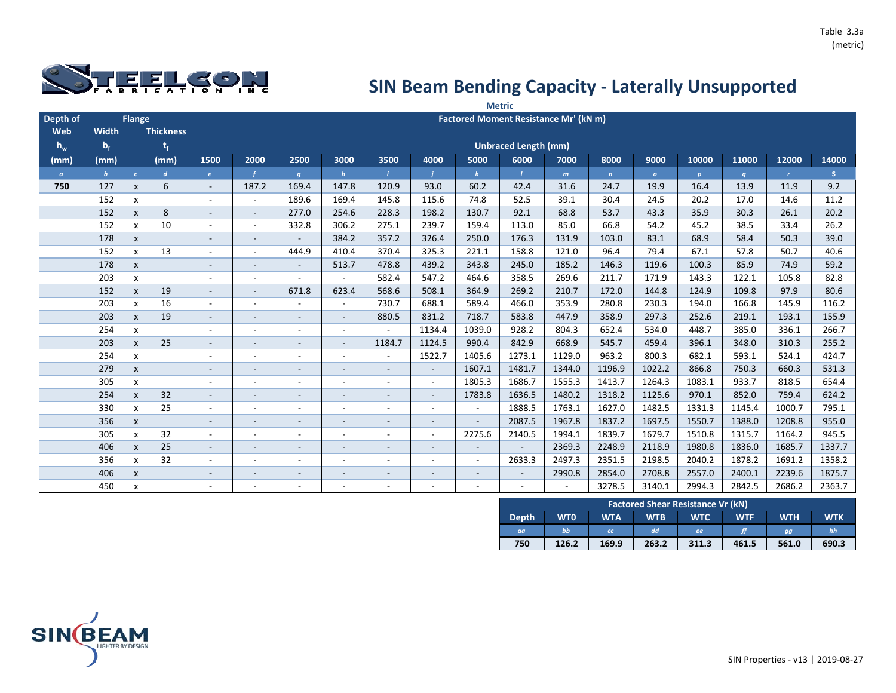

|          |              |                    |                  |                          |                          |                          |                          |                          |                          |                          | <b>Metric</b>               |                                       |              |          |                  |        |              |        |
|----------|--------------|--------------------|------------------|--------------------------|--------------------------|--------------------------|--------------------------|--------------------------|--------------------------|--------------------------|-----------------------------|---------------------------------------|--------------|----------|------------------|--------|--------------|--------|
| Depth of |              | Flange             |                  |                          |                          |                          |                          |                          |                          |                          |                             | Factored Moment Resistance Mr' (kN m) |              |          |                  |        |              |        |
| Web      | Width        |                    | <b>Thickness</b> |                          |                          |                          |                          |                          |                          |                          |                             |                                       |              |          |                  |        |              |        |
| $h_w$    | $b_f$        |                    | $t_{f}$          |                          |                          |                          |                          |                          |                          |                          | <b>Unbraced Length (mm)</b> |                                       |              |          |                  |        |              |        |
| (mm)     | (mm)         |                    | (mm)             | 1500                     | 2000                     | 2500                     | 3000                     | 3500                     | 4000                     | 5000                     | 6000                        | 7000                                  | 8000         | 9000     | 10000            | 11000  | 12000        | 14000  |
| $\alpha$ | $\mathbf{b}$ | $\epsilon$         | $\boldsymbol{d}$ | e                        |                          | g                        | h                        |                          |                          | $\mathbf{k}$             | $\mathcal{L}$               | m                                     | $\mathbf{n}$ | $\sigma$ | $\boldsymbol{p}$ | q      | $\mathbf{r}$ | S.     |
| 750      | 127          | $\mathsf{x}$       | 6                | $\sim$                   | 187.2                    | 169.4                    | 147.8                    | 120.9                    | 93.0                     | 60.2                     | 42.4                        | 31.6                                  | 24.7         | 19.9     | 16.4             | 13.9   | 11.9         | 9.2    |
|          | 152          | $\pmb{\mathsf{x}}$ |                  |                          | $\sim$                   | 189.6                    | 169.4                    | 145.8                    | 115.6                    | 74.8                     | 52.5                        | 39.1                                  | 30.4         | 24.5     | 20.2             | 17.0   | 14.6         | 11.2   |
|          | 152          | $\pmb{\mathsf{x}}$ | 8                | $\sim$                   | $\sim$                   | 277.0                    | 254.6                    | 228.3                    | 198.2                    | 130.7                    | 92.1                        | 68.8                                  | 53.7         | 43.3     | 35.9             | 30.3   | 26.1         | 20.2   |
|          | 152          | $\pmb{\mathsf{x}}$ | 10               | $\sim$                   | $\sim$                   | 332.8                    | 306.2                    | 275.1                    | 239.7                    | 159.4                    | 113.0                       | 85.0                                  | 66.8         | 54.2     | 45.2             | 38.5   | 33.4         | 26.2   |
|          | 178          | $\pmb{\mathsf{x}}$ |                  |                          | $\sim$                   | $\overline{\phantom{a}}$ | 384.2                    | 357.2                    | 326.4                    | 250.0                    | 176.3                       | 131.9                                 | 103.0        | 83.1     | 68.9             | 58.4   | 50.3         | 39.0   |
|          | 152          | $\pmb{\mathsf{x}}$ | 13               |                          | $\sim$                   | 444.9                    | 410.4                    | 370.4                    | 325.3                    | 221.1                    | 158.8                       | 121.0                                 | 96.4         | 79.4     | 67.1             | 57.8   | 50.7         | 40.6   |
|          | 178          | $\pmb{\mathsf{X}}$ |                  |                          | $\overline{\phantom{a}}$ | $\overline{\phantom{a}}$ | 513.7                    | 478.8                    | 439.2                    | 343.8                    | 245.0                       | 185.2                                 | 146.3        | 119.6    | 100.3            | 85.9   | 74.9         | 59.2   |
|          | 203          | X                  |                  |                          | $\blacksquare$           | $\overline{\phantom{a}}$ | $\overline{\phantom{a}}$ | 582.4                    | 547.2                    | 464.6                    | 358.5                       | 269.6                                 | 211.7        | 171.9    | 143.3            | 122.1  | 105.8        | 82.8   |
|          | 152          | $\pmb{\mathsf{X}}$ | 19               |                          |                          | 671.8                    | 623.4                    | 568.6                    | 508.1                    | 364.9                    | 269.2                       | 210.7                                 | 172.0        | 144.8    | 124.9            | 109.8  | 97.9         | 80.6   |
|          | 203          | $\mathsf{x}$       | 16               |                          | $\overline{\phantom{a}}$ |                          | $\sim$                   | 730.7                    | 688.1                    | 589.4                    | 466.0                       | 353.9                                 | 280.8        | 230.3    | 194.0            | 166.8  | 145.9        | 116.2  |
|          | 203          | $\pmb{\mathsf{x}}$ | 19               |                          | $\overline{\phantom{0}}$ | $\overline{\phantom{a}}$ |                          | 880.5                    | 831.2                    | 718.7                    | 583.8                       | 447.9                                 | 358.9        | 297.3    | 252.6            | 219.1  | 193.1        | 155.9  |
|          | 254          | X                  |                  |                          | ٠                        |                          | $\overline{\phantom{a}}$ | $\sim$                   | 1134.4                   | 1039.0                   | 928.2                       | 804.3                                 | 652.4        | 534.0    | 448.7            | 385.0  | 336.1        | 266.7  |
|          | 203          | $\mathsf{x}$       | 25               |                          | $\overline{\phantom{a}}$ | $\overline{\phantom{a}}$ | $\overline{\phantom{a}}$ | 1184.7                   | 1124.5                   | 990.4                    | 842.9                       | 668.9                                 | 545.7        | 459.4    | 396.1            | 348.0  | 310.3        | 255.2  |
|          | 254          | $\pmb{\mathsf{X}}$ |                  |                          | ۰                        | $\overline{\phantom{a}}$ | $\sim$                   | $\sim$                   | 1522.7                   | 1405.6                   | 1273.1                      | 1129.0                                | 963.2        | 800.3    | 682.1            | 593.1  | 524.1        | 424.7  |
|          | 279          | $\pmb{\mathsf{x}}$ |                  |                          | $\overline{\phantom{a}}$ | $\overline{\phantom{a}}$ | $\overline{\phantom{a}}$ | $\sim$                   | $\sim$                   | 1607.1                   | 1481.7                      | 1344.0                                | 1196.9       | 1022.2   | 866.8            | 750.3  | 660.3        | 531.3  |
|          | 305          | X                  |                  |                          | $\overline{\phantom{a}}$ | $\overline{\phantom{a}}$ | $\sim$                   | $\overline{\phantom{a}}$ | $\sim$                   | 1805.3                   | 1686.7                      | 1555.3                                | 1413.7       | 1264.3   | 1083.1           | 933.7  | 818.5        | 654.4  |
|          | 254          | $\pmb{\mathsf{x}}$ | 32               | $\overline{\phantom{a}}$ | $\overline{\phantom{a}}$ | $\overline{\phantom{a}}$ | $\overline{\phantom{a}}$ | $\overline{\phantom{a}}$ | $\sim$                   | 1783.8                   | 1636.5                      | 1480.2                                | 1318.2       | 1125.6   | 970.1            | 852.0  | 759.4        | 624.2  |
|          | 330          | $\mathsf{x}$       | 25               |                          | $\overline{\phantom{a}}$ | ٠                        | $\overline{\phantom{a}}$ | $\overline{\phantom{a}}$ | ٠                        |                          | 1888.5                      | 1763.1                                | 1627.0       | 1482.5   | 1331.3           | 1145.4 | 1000.7       | 795.1  |
|          | 356          | $\pmb{\mathsf{X}}$ |                  | $\sim$                   | $\overline{\phantom{a}}$ | $\overline{\phantom{a}}$ | $\overline{\phantom{a}}$ | $\overline{\phantom{a}}$ | $\overline{\phantom{a}}$ | $\blacksquare$           | 2087.5                      | 1967.8                                | 1837.2       | 1697.5   | 1550.7           | 1388.0 | 1208.8       | 955.0  |
|          | 305          | $\mathsf{x}$       | 32               |                          |                          | $\overline{\phantom{a}}$ |                          | $\overline{\phantom{a}}$ | $\overline{\phantom{a}}$ | 2275.6                   | 2140.5                      | 1994.1                                | 1839.7       | 1679.7   | 1510.8           | 1315.7 | 1164.2       | 945.5  |
|          | 406          | $\mathsf{x}$       | 25               | $\sim$                   | $\overline{\phantom{a}}$ | $\overline{\phantom{a}}$ | $\overline{\phantom{a}}$ | $\overline{\phantom{a}}$ | $\overline{\phantom{a}}$ | $\overline{\phantom{a}}$ |                             | 2369.3                                | 2248.9       | 2118.9   | 1980.8           | 1836.0 | 1685.7       | 1337.7 |
|          | 356          | $\mathsf{x}$       | 32               |                          | ٠                        | ٠                        |                          |                          | ۰                        | $\sim$                   | 2633.3                      | 2497.3                                | 2351.5       | 2198.5   | 2040.2           | 1878.2 | 1691.2       | 1358.2 |
|          | 406          | $\mathsf{x}$       |                  |                          | $\overline{\phantom{a}}$ | $\overline{\phantom{a}}$ |                          | $\overline{\phantom{a}}$ | $\overline{\phantom{a}}$ | $\overline{\phantom{a}}$ | $\sim$                      | 2990.8                                | 2854.0       | 2708.8   | 2557.0           | 2400.1 | 2239.6       | 1875.7 |
|          | 450          | x                  |                  |                          | $\overline{\phantom{a}}$ | ٠                        |                          | $\sim$                   | ٠                        | $\overline{\phantom{a}}$ | $\overline{\phantom{a}}$    |                                       | 3278.5       | 3140.1   | 2994.3           | 2842.5 | 2686.2       | 2363.7 |

|              |            |            |            | <b>Factored Shear Resistance Vr (kN)</b> |            |            |            |
|--------------|------------|------------|------------|------------------------------------------|------------|------------|------------|
| <b>Depth</b> | <b>WTO</b> | <b>WTA</b> | <b>WTB</b> | <b>WTC</b>                               | <b>WTF</b> | <b>WTH</b> | <b>WTK</b> |
| aa           | bb         | cc         | dd         | ee                                       |            | gg         | hh         |
| 750          | 126.2      | 169.9      | 263.2      | 311.3                                    | 461.5      | 561.0      | 690.3      |

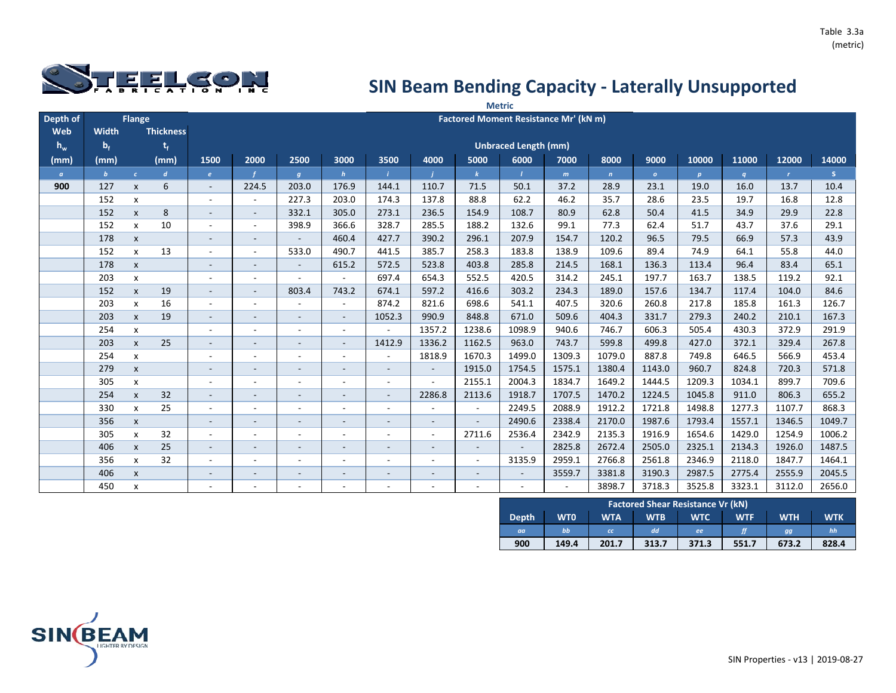

|          |              |                    |                  |                          |                          |                          |                          |                          |                          |                          | <b>Metric</b>               |                                       |              |          |                  |        |              |        |
|----------|--------------|--------------------|------------------|--------------------------|--------------------------|--------------------------|--------------------------|--------------------------|--------------------------|--------------------------|-----------------------------|---------------------------------------|--------------|----------|------------------|--------|--------------|--------|
| Depth of |              | Flange             |                  |                          |                          |                          |                          |                          |                          |                          |                             | Factored Moment Resistance Mr' (kN m) |              |          |                  |        |              |        |
| Web      | Width        |                    | <b>Thickness</b> |                          |                          |                          |                          |                          |                          |                          |                             |                                       |              |          |                  |        |              |        |
| $h_w$    | $b_f$        |                    | $t_{f}$          |                          |                          |                          |                          |                          |                          |                          | <b>Unbraced Length (mm)</b> |                                       |              |          |                  |        |              |        |
| (mm)     | (mm)         |                    | (mm)             | 1500                     | 2000                     | 2500                     | 3000                     | 3500                     | 4000                     | 5000                     | 6000                        | 7000                                  | 8000         | 9000     | 10000            | 11000  | 12000        | 14000  |
| $\alpha$ | $\mathbf{b}$ | $\epsilon$         | $\boldsymbol{d}$ | e                        |                          | g                        | h                        |                          |                          | $\mathbf{k}$             | $\mathcal{L}$               | m                                     | $\mathbf{n}$ | $\sigma$ | $\boldsymbol{p}$ | q      | $\mathbf{r}$ | S.     |
| 900      | 127          | $\mathsf{x}$       | 6                | $\sim$                   | 224.5                    | 203.0                    | 176.9                    | 144.1                    | 110.7                    | 71.5                     | 50.1                        | 37.2                                  | 28.9         | 23.1     | 19.0             | 16.0   | 13.7         | 10.4   |
|          | 152          | $\pmb{\mathsf{x}}$ |                  |                          | $\sim$                   | 227.3                    | 203.0                    | 174.3                    | 137.8                    | 88.8                     | 62.2                        | 46.2                                  | 35.7         | 28.6     | 23.5             | 19.7   | 16.8         | 12.8   |
|          | 152          | $\pmb{\mathsf{x}}$ | 8                | $\sim$                   | $\sim$                   | 332.1                    | 305.0                    | 273.1                    | 236.5                    | 154.9                    | 108.7                       | 80.9                                  | 62.8         | 50.4     | 41.5             | 34.9   | 29.9         | 22.8   |
|          | 152          | $\pmb{\mathsf{x}}$ | 10               | $\sim$                   | $\sim$                   | 398.9                    | 366.6                    | 328.7                    | 285.5                    | 188.2                    | 132.6                       | 99.1                                  | 77.3         | 62.4     | 51.7             | 43.7   | 37.6         | 29.1   |
|          | 178          | $\pmb{\mathsf{x}}$ |                  |                          | $\sim$                   | $\overline{\phantom{a}}$ | 460.4                    | 427.7                    | 390.2                    | 296.1                    | 207.9                       | 154.7                                 | 120.2        | 96.5     | 79.5             | 66.9   | 57.3         | 43.9   |
|          | 152          | $\pmb{\mathsf{x}}$ | 13               |                          | $\sim$                   | 533.0                    | 490.7                    | 441.5                    | 385.7                    | 258.3                    | 183.8                       | 138.9                                 | 109.6        | 89.4     | 74.9             | 64.1   | 55.8         | 44.0   |
|          | 178          | $\pmb{\mathsf{X}}$ |                  |                          | $\overline{\phantom{a}}$ | $\overline{\phantom{a}}$ | 615.2                    | 572.5                    | 523.8                    | 403.8                    | 285.8                       | 214.5                                 | 168.1        | 136.3    | 113.4            | 96.4   | 83.4         | 65.1   |
|          | 203          | X                  |                  |                          | $\blacksquare$           | $\overline{\phantom{a}}$ |                          | 697.4                    | 654.3                    | 552.5                    | 420.5                       | 314.2                                 | 245.1        | 197.7    | 163.7            | 138.5  | 119.2        | 92.1   |
|          | 152          | $\pmb{\mathsf{X}}$ | 19               |                          |                          | 803.4                    | 743.2                    | 674.1                    | 597.2                    | 416.6                    | 303.2                       | 234.3                                 | 189.0        | 157.6    | 134.7            | 117.4  | 104.0        | 84.6   |
|          | 203          | $\mathsf{x}$       | 16               |                          | $\overline{\phantom{a}}$ |                          | $\sim$                   | 874.2                    | 821.6                    | 698.6                    | 541.1                       | 407.5                                 | 320.6        | 260.8    | 217.8            | 185.8  | 161.3        | 126.7  |
|          | 203          | $\pmb{\mathsf{x}}$ | 19               |                          | $\overline{\phantom{0}}$ | $\overline{\phantom{a}}$ | $\overline{\phantom{a}}$ | 1052.3                   | 990.9                    | 848.8                    | 671.0                       | 509.6                                 | 404.3        | 331.7    | 279.3            | 240.2  | 210.1        | 167.3  |
|          | 254          | X                  |                  |                          | ٠                        |                          | $\sim$                   | $\sim$                   | 1357.2                   | 1238.6                   | 1098.9                      | 940.6                                 | 746.7        | 606.3    | 505.4            | 430.3  | 372.9        | 291.9  |
|          | 203          | $\mathsf{x}$       | 25               |                          | $\overline{\phantom{a}}$ | $\overline{\phantom{a}}$ | $\overline{\phantom{a}}$ | 1412.9                   | 1336.2                   | 1162.5                   | 963.0                       | 743.7                                 | 599.8        | 499.8    | 427.0            | 372.1  | 329.4        | 267.8  |
|          | 254          | $\pmb{\mathsf{X}}$ |                  |                          | ۰                        | $\overline{\phantom{a}}$ | $\sim$                   | $\sim$                   | 1818.9                   | 1670.3                   | 1499.0                      | 1309.3                                | 1079.0       | 887.8    | 749.8            | 646.5  | 566.9        | 453.4  |
|          | 279          | $\pmb{\mathsf{x}}$ |                  |                          | $\overline{\phantom{a}}$ | $\overline{\phantom{a}}$ | $\overline{\phantom{a}}$ | $\blacksquare$           | $\overline{\phantom{a}}$ | 1915.0                   | 1754.5                      | 1575.1                                | 1380.4       | 1143.0   | 960.7            | 824.8  | 720.3        | 571.8  |
|          | 305          | X                  |                  |                          | $\overline{\phantom{a}}$ | $\overline{\phantom{a}}$ | $\sim$                   | $\overline{\phantom{a}}$ | $\blacksquare$           | 2155.1                   | 2004.3                      | 1834.7                                | 1649.2       | 1444.5   | 1209.3           | 1034.1 | 899.7        | 709.6  |
|          | 254          | $\pmb{\mathsf{x}}$ | 32               | $\overline{\phantom{a}}$ | $\overline{\phantom{a}}$ | $\overline{\phantom{a}}$ | $\overline{\phantom{a}}$ | $\overline{\phantom{a}}$ | 2286.8                   | 2113.6                   | 1918.7                      | 1707.5                                | 1470.2       | 1224.5   | 1045.8           | 911.0  | 806.3        | 655.2  |
|          | 330          | $\mathsf{x}$       | 25               |                          | $\overline{\phantom{a}}$ | ٠                        | $\overline{\phantom{a}}$ | $\overline{\phantom{a}}$ |                          |                          | 2249.5                      | 2088.9                                | 1912.2       | 1721.8   | 1498.8           | 1277.3 | 1107.7       | 868.3  |
|          | 356          | $\pmb{\mathsf{X}}$ |                  | $\sim$                   | $\overline{\phantom{a}}$ | $\overline{\phantom{a}}$ | $\overline{\phantom{a}}$ | $\overline{\phantom{a}}$ | $\overline{\phantom{a}}$ | $\overline{\phantom{a}}$ | 2490.6                      | 2338.4                                | 2170.0       | 1987.6   | 1793.4           | 1557.1 | 1346.5       | 1049.7 |
|          | 305          | $\mathsf{x}$       | 32               |                          |                          |                          |                          | $\overline{\phantom{a}}$ | $\sim$                   | 2711.6                   | 2536.4                      | 2342.9                                | 2135.3       | 1916.9   | 1654.6           | 1429.0 | 1254.9       | 1006.2 |
|          | 406          | $\mathsf{x}$       | 25               | $\sim$                   | $\overline{\phantom{a}}$ | $\overline{\phantom{a}}$ | $\overline{\phantom{a}}$ | $\overline{\phantom{a}}$ | $\overline{\phantom{a}}$ | $\overline{\phantom{a}}$ |                             | 2825.8                                | 2672.4       | 2505.0   | 2325.1           | 2134.3 | 1926.0       | 1487.5 |
|          | 356          | $\mathsf{x}$       | 32               |                          | ٠                        | ٠                        |                          |                          | ۰                        | $\sim$                   | 3135.9                      | 2959.1                                | 2766.8       | 2561.8   | 2346.9           | 2118.0 | 1847.7       | 1464.1 |
|          | 406          | $\mathsf{x}$       |                  |                          | $\overline{\phantom{a}}$ | $\overline{\phantom{a}}$ |                          | $\overline{\phantom{a}}$ | $\overline{\phantom{a}}$ | $\overline{\phantom{a}}$ | $\sim$                      | 3559.7                                | 3381.8       | 3190.3   | 2987.5           | 2775.4 | 2555.9       | 2045.5 |
|          | 450          | x                  |                  |                          | $\overline{\phantom{a}}$ | ٠                        |                          | $\sim$                   | ٠                        | $\overline{\phantom{a}}$ | $\overline{\phantom{a}}$    |                                       | 3898.7       | 3718.3   | 3525.8           | 3323.1 | 3112.0       | 2656.0 |

|              |            |            |            | <b>Factored Shear Resistance Vr (kN)</b> |            |            |            |
|--------------|------------|------------|------------|------------------------------------------|------------|------------|------------|
| <b>Depth</b> | <b>WTO</b> | <b>WTA</b> | <b>WTB</b> | <b>WTC</b>                               | <b>WTF</b> | <b>WTH</b> | <b>WTK</b> |
| aa           | bb         | cc         | dd         | ee                                       |            | gg         | hh         |
| 900          | 149.4      | 201.7      | 313.7      | 371.3                                    | 551.7      | 673.2      | 828.4      |

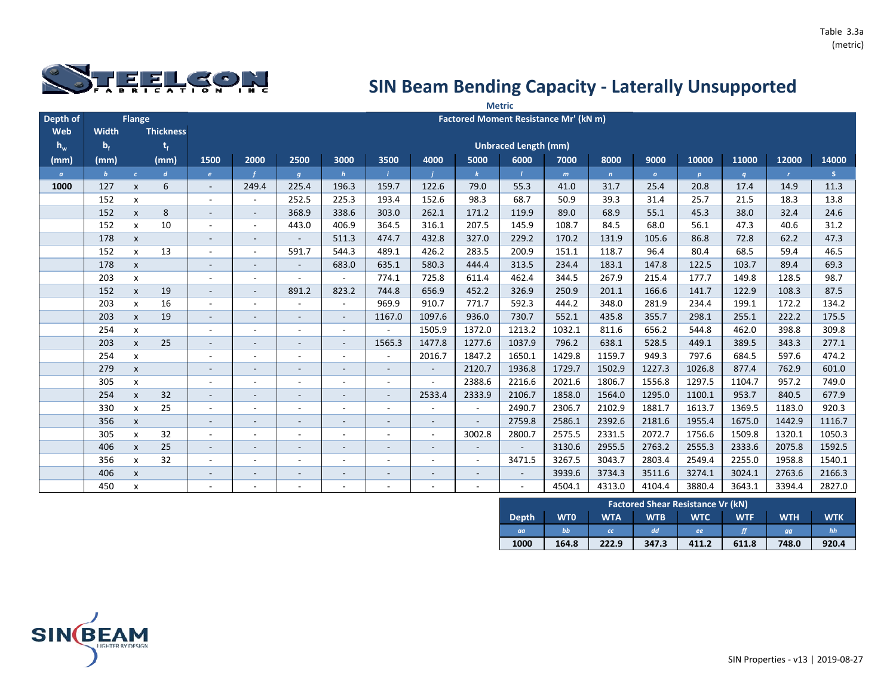

|          |              |                    |                  |                          |                          |                          |                          |                          |                          |                          | <b>Metric</b>               |                                       |              |              |                  |        |              |        |
|----------|--------------|--------------------|------------------|--------------------------|--------------------------|--------------------------|--------------------------|--------------------------|--------------------------|--------------------------|-----------------------------|---------------------------------------|--------------|--------------|------------------|--------|--------------|--------|
| Depth of |              | Flange             |                  |                          |                          |                          |                          |                          |                          |                          |                             | Factored Moment Resistance Mr' (kN m) |              |              |                  |        |              |        |
| Web      | Width        |                    | <b>Thickness</b> |                          |                          |                          |                          |                          |                          |                          |                             |                                       |              |              |                  |        |              |        |
| $h_w$    | $b_f$        |                    | $t_{f}$          |                          |                          |                          |                          |                          |                          |                          | <b>Unbraced Length (mm)</b> |                                       |              |              |                  |        |              |        |
| (mm)     | (mm)         |                    | (mm)             | 1500                     | 2000                     | 2500                     | 3000                     | 3500                     | 4000                     | 5000                     | 6000                        | 7000                                  | 8000         | 9000         | 10000            | 11000  | 12000        | 14000  |
| $\alpha$ | $\mathbf{b}$ | $\epsilon$         | $\boldsymbol{d}$ | e                        |                          | g                        | h                        |                          |                          | $\mathbf{k}$             | $\mathbf{I}$                | m                                     | $\mathbf{n}$ | $\mathbf{o}$ | $\boldsymbol{p}$ | q      | $\mathbf{r}$ | S.     |
| 1000     | 127          | $\mathsf{x}$       | 6                | $\sim$                   | 249.4                    | 225.4                    | 196.3                    | 159.7                    | 122.6                    | 79.0                     | 55.3                        | 41.0                                  | 31.7         | 25.4         | 20.8             | 17.4   | 14.9         | 11.3   |
|          | 152          | X                  |                  |                          | $\overline{\phantom{a}}$ | 252.5                    | 225.3                    | 193.4                    | 152.6                    | 98.3                     | 68.7                        | 50.9                                  | 39.3         | 31.4         | 25.7             | 21.5   | 18.3         | 13.8   |
|          | 152          | $\mathsf{x}$       | 8                | $\sim$                   | $\sim$                   | 368.9                    | 338.6                    | 303.0                    | 262.1                    | 171.2                    | 119.9                       | 89.0                                  | 68.9         | 55.1         | 45.3             | 38.0   | 32.4         | 24.6   |
|          | 152          | $\mathsf{x}$       | 10               |                          | $\sim$                   | 443.0                    | 406.9                    | 364.5                    | 316.1                    | 207.5                    | 145.9                       | 108.7                                 | 84.5         | 68.0         | 56.1             | 47.3   | 40.6         | 31.2   |
|          | 178          | $\pmb{\mathsf{x}}$ |                  | $\overline{\phantom{a}}$ | $\overline{\phantom{a}}$ | $\overline{\phantom{a}}$ | 511.3                    | 474.7                    | 432.8                    | 327.0                    | 229.2                       | 170.2                                 | 131.9        | 105.6        | 86.8             | 72.8   | 62.2         | 47.3   |
|          | 152          | $\pmb{\mathsf{x}}$ | 13               |                          | $\sim$                   | 591.7                    | 544.3                    | 489.1                    | 426.2                    | 283.5                    | 200.9                       | 151.1                                 | 118.7        | 96.4         | 80.4             | 68.5   | 59.4         | 46.5   |
|          | 178          | $\pmb{\mathsf{X}}$ |                  |                          | $\sim$                   | $\overline{\phantom{a}}$ | 683.0                    | 635.1                    | 580.3                    | 444.4                    | 313.5                       | 234.4                                 | 183.1        | 147.8        | 122.5            | 103.7  | 89.4         | 69.3   |
|          | 203          | $\mathsf{x}$       |                  |                          | $\sim$                   | $\sim$                   |                          | 774.1                    | 725.8                    | 611.4                    | 462.4                       | 344.5                                 | 267.9        | 215.4        | 177.7            | 149.8  | 128.5        | 98.7   |
|          | 152          | $\mathsf{x}$       | 19               |                          | $\overline{\phantom{a}}$ | 891.2                    | 823.2                    | 744.8                    | 656.9                    | 452.2                    | 326.9                       | 250.9                                 | 201.1        | 166.6        | 141.7            | 122.9  | 108.3        | 87.5   |
|          | 203          | $\mathsf{x}$       | 16               |                          | $\sim$                   | $\overline{a}$           | $\sim$                   | 969.9                    | 910.7                    | 771.7                    | 592.3                       | 444.2                                 | 348.0        | 281.9        | 234.4            | 199.1  | 172.2        | 134.2  |
|          | 203          | $\mathsf{x}$       | 19               |                          |                          | $\overline{\phantom{a}}$ |                          | 1167.0                   | 1097.6                   | 936.0                    | 730.7                       | 552.1                                 | 435.8        | 355.7        | 298.1            | 255.1  | 222.2        | 175.5  |
|          | 254          | X                  |                  |                          | ٠                        |                          | $\sim$                   | $\sim$                   | 1505.9                   | 1372.0                   | 1213.2                      | 1032.1                                | 811.6        | 656.2        | 544.8            | 462.0  | 398.8        | 309.8  |
|          | 203          | $\mathsf{x}$       | 25               |                          | ۰                        | $\overline{\phantom{a}}$ | $\sim$                   | 1565.3                   | 1477.8                   | 1277.6                   | 1037.9                      | 796.2                                 | 638.1        | 528.5        | 449.1            | 389.5  | 343.3        | 277.1  |
|          | 254          | X                  |                  | $\overline{\phantom{a}}$ | $\overline{\phantom{a}}$ | $\overline{\phantom{a}}$ | $\sim$                   | $\sim$                   | 2016.7                   | 1847.2                   | 1650.1                      | 1429.8                                | 1159.7       | 949.3        | 797.6            | 684.5  | 597.6        | 474.2  |
|          | 279          | $\mathsf{x}$       |                  |                          | Ξ.                       | $\overline{\phantom{a}}$ | $\sim$                   | $\sim$                   | $\sim$                   | 2120.7                   | 1936.8                      | 1729.7                                | 1502.9       | 1227.3       | 1026.8           | 877.4  | 762.9        | 601.0  |
|          | 305          | $\mathsf{x}$       |                  |                          | $\overline{\phantom{a}}$ | $\overline{\phantom{a}}$ | $\sim$                   | $\sim$                   | ÷,                       | 2388.6                   | 2216.6                      | 2021.6                                | 1806.7       | 1556.8       | 1297.5           | 1104.7 | 957.2        | 749.0  |
|          | 254          | $\pmb{\mathsf{x}}$ | 32               | $\sim$                   | $\sim$                   | $\overline{\phantom{a}}$ | $\overline{\phantom{a}}$ | $\sim$                   | 2533.4                   | 2333.9                   | 2106.7                      | 1858.0                                | 1564.0       | 1295.0       | 1100.1           | 953.7  | 840.5        | 677.9  |
|          | 330          | $\mathsf{x}$       | 25               |                          | ٠                        | $\overline{\phantom{a}}$ | $\overline{\phantom{a}}$ | $\overline{\phantom{a}}$ |                          | $\blacksquare$           | 2490.7                      | 2306.7                                | 2102.9       | 1881.7       | 1613.7           | 1369.5 | 1183.0       | 920.3  |
|          | 356          | $\mathsf{x}$       |                  |                          | $\overline{\phantom{a}}$ | $\overline{\phantom{a}}$ | $\overline{\phantom{a}}$ | $\overline{\phantom{a}}$ | $\overline{\phantom{a}}$ | $\blacksquare$           | 2759.8                      | 2586.1                                | 2392.6       | 2181.6       | 1955.4           | 1675.0 | 1442.9       | 1116.7 |
|          | 305          | X                  | 32               |                          | $\overline{\phantom{a}}$ | $\overline{a}$           | $\overline{\phantom{a}}$ | $\overline{\phantom{a}}$ | $\blacksquare$           | 3002.8                   | 2800.7                      | 2575.5                                | 2331.5       | 2072.7       | 1756.6           | 1509.8 | 1320.1       | 1050.3 |
|          | 406          | $\pmb{\mathsf{X}}$ | 25               |                          | $\overline{\phantom{a}}$ | $\overline{\phantom{a}}$ | $\overline{\phantom{a}}$ | $\overline{\phantom{a}}$ | $\overline{\phantom{a}}$ |                          |                             | 3130.6                                | 2955.5       | 2763.2       | 2555.3           | 2333.6 | 2075.8       | 1592.5 |
|          | 356          | X                  | 32               |                          |                          |                          |                          |                          | ÷                        | $\overline{\phantom{a}}$ | 3471.5                      | 3267.5                                | 3043.7       | 2803.4       | 2549.4           | 2255.0 | 1958.8       | 1540.1 |
|          | 406          | $\mathsf{x}$       |                  |                          | $\overline{\phantom{a}}$ | $\overline{\phantom{a}}$ |                          | $\overline{\phantom{a}}$ | $\overline{\phantom{a}}$ | $\overline{\phantom{a}}$ | $\overline{\phantom{a}}$    | 3939.6                                | 3734.3       | 3511.6       | 3274.1           | 3024.1 | 2763.6       | 2166.3 |
|          | 450          | X                  |                  |                          |                          |                          |                          |                          | ۰                        | $\overline{\phantom{a}}$ | $\sim$                      | 4504.1                                | 4313.0       | 4104.4       | 3880.4           | 3643.1 | 3394.4       | 2827.0 |

|              | <b>Factored Shear Resistance Vr (kN)</b> |            |            |            |            |            |            |  |  |  |  |  |
|--------------|------------------------------------------|------------|------------|------------|------------|------------|------------|--|--|--|--|--|
| <b>Depth</b> | <b>WTO</b>                               | <b>WTA</b> | <b>WTB</b> | <b>WTC</b> | <b>WTF</b> | <b>WTH</b> | <b>WTK</b> |  |  |  |  |  |
| aa           | bb                                       | <b>CC</b>  | dd         | ee         |            | gg         | hh         |  |  |  |  |  |
| 1000         | 164.8                                    | 222.9      | 347.3      | 411.2      | 611.8      | 748.0      | 920.4      |  |  |  |  |  |

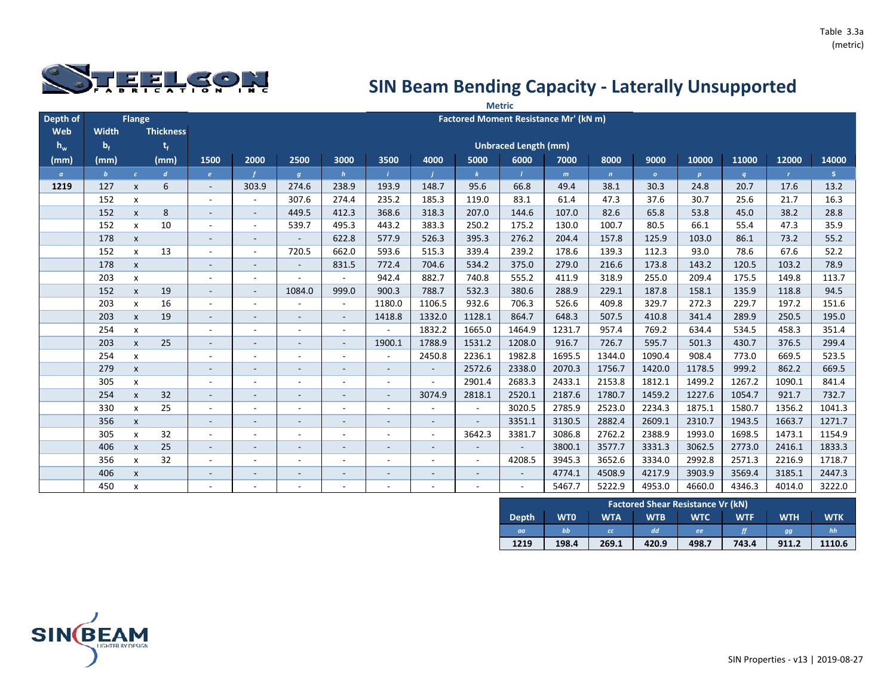

|          |              |                    |                  |                          | <b>Metric</b>            |                          |                          |                          |                          |                          |                             |                                       |              |              |                  |        |              |        |
|----------|--------------|--------------------|------------------|--------------------------|--------------------------|--------------------------|--------------------------|--------------------------|--------------------------|--------------------------|-----------------------------|---------------------------------------|--------------|--------------|------------------|--------|--------------|--------|
| Depth of |              | Flange             |                  |                          |                          |                          |                          |                          |                          |                          |                             | Factored Moment Resistance Mr' (kN m) |              |              |                  |        |              |        |
| Web      | Width        |                    | <b>Thickness</b> |                          |                          |                          |                          |                          |                          |                          |                             |                                       |              |              |                  |        |              |        |
| $h_w$    | $b_f$        |                    | $t_{f}$          |                          |                          |                          |                          |                          |                          |                          | <b>Unbraced Length (mm)</b> |                                       |              |              |                  |        |              |        |
| (mm)     | (mm)         |                    | (mm)             | 1500                     | 2000                     | 2500                     | 3000                     | 3500                     | 4000                     | 5000                     | 6000                        | 7000                                  | 8000         | 9000         | 10000            | 11000  | 12000        | 14000  |
| $\alpha$ | $\mathbf{b}$ | $\epsilon$         | $\boldsymbol{d}$ | e                        |                          | $\overline{g}$           | h                        |                          |                          | $\mathbf{k}$             | $\mathbf{I}$                | m                                     | $\mathbf{n}$ | $\mathbf{o}$ | $\boldsymbol{p}$ | q      | $\mathbf{r}$ | S.     |
| 1219     | 127          | $\mathsf{x}$       | 6                | $\sim$                   | 303.9                    | 274.6                    | 238.9                    | 193.9                    | 148.7                    | 95.6                     | 66.8                        | 49.4                                  | 38.1         | 30.3         | 24.8             | 20.7   | 17.6         | 13.2   |
|          | 152          | X                  |                  |                          | $\sim$                   | 307.6                    | 274.4                    | 235.2                    | 185.3                    | 119.0                    | 83.1                        | 61.4                                  | 47.3         | 37.6         | 30.7             | 25.6   | 21.7         | 16.3   |
|          | 152          | $\mathsf{x}$       | 8                | $\sim$                   | $\sim$                   | 449.5                    | 412.3                    | 368.6                    | 318.3                    | 207.0                    | 144.6                       | 107.0                                 | 82.6         | 65.8         | 53.8             | 45.0   | 38.2         | 28.8   |
|          | 152          | $\mathsf{x}$       | 10               |                          | $\overline{\phantom{a}}$ | 539.7                    | 495.3                    | 443.2                    | 383.3                    | 250.2                    | 175.2                       | 130.0                                 | 100.7        | 80.5         | 66.1             | 55.4   | 47.3         | 35.9   |
|          | 178          | $\pmb{\mathsf{x}}$ |                  | $\overline{\phantom{a}}$ | $\sim$                   | $\overline{\phantom{a}}$ | 622.8                    | 577.9                    | 526.3                    | 395.3                    | 276.2                       | 204.4                                 | 157.8        | 125.9        | 103.0            | 86.1   | 73.2         | 55.2   |
|          | 152          | $\pmb{\mathsf{x}}$ | 13               |                          | $\sim$                   | 720.5                    | 662.0                    | 593.6                    | 515.3                    | 339.4                    | 239.2                       | 178.6                                 | 139.3        | 112.3        | 93.0             | 78.6   | 67.6         | 52.2   |
|          | 178          | $\pmb{\mathsf{X}}$ |                  |                          | $\overline{\phantom{a}}$ | $\overline{\phantom{a}}$ | 831.5                    | 772.4                    | 704.6                    | 534.2                    | 375.0                       | 279.0                                 | 216.6        | 173.8        | 143.2            | 120.5  | 103.2        | 78.9   |
|          | 203          | $\mathsf{x}$       |                  |                          | $\sim$                   | $\sim$                   |                          | 942.4                    | 882.7                    | 740.8                    | 555.2                       | 411.9                                 | 318.9        | 255.0        | 209.4            | 175.5  | 149.8        | 113.7  |
|          | 152          | $\mathsf{x}$       | 19               |                          | $\overline{\phantom{a}}$ | 1084.0                   | 999.0                    | 900.3                    | 788.7                    | 532.3                    | 380.6                       | 288.9                                 | 229.1        | 187.8        | 158.1            | 135.9  | 118.8        | 94.5   |
|          | 203          | $\mathsf{x}$       | 16               |                          | $\sim$                   |                          | $\sim$                   | 1180.0                   | 1106.5                   | 932.6                    | 706.3                       | 526.6                                 | 409.8        | 329.7        | 272.3            | 229.7  | 197.2        | 151.6  |
|          | 203          | $\mathsf{x}$       | 19               |                          |                          |                          |                          | 1418.8                   | 1332.0                   | 1128.1                   | 864.7                       | 648.3                                 | 507.5        | 410.8        | 341.4            | 289.9  | 250.5        | 195.0  |
|          | 254          | X                  |                  |                          | ٠                        |                          | $\sim$                   | $\sim$                   | 1832.2                   | 1665.0                   | 1464.9                      | 1231.7                                | 957.4        | 769.2        | 634.4            | 534.5  | 458.3        | 351.4  |
|          | 203          | $\mathsf{x}$       | 25               |                          | ۰                        | $\overline{\phantom{a}}$ | $\sim$                   | 1900.1                   | 1788.9                   | 1531.2                   | 1208.0                      | 916.7                                 | 726.7        | 595.7        | 501.3            | 430.7  | 376.5        | 299.4  |
|          | 254          | X                  |                  | $\overline{\phantom{a}}$ | $\overline{\phantom{a}}$ | $\overline{\phantom{a}}$ | $\sim$                   | $\overline{\phantom{a}}$ | 2450.8                   | 2236.1                   | 1982.8                      | 1695.5                                | 1344.0       | 1090.4       | 908.4            | 773.0  | 669.5        | 523.5  |
|          | 279          | $\mathsf{x}$       |                  |                          | Ξ.                       | $\overline{\phantom{a}}$ | $\sim$                   | $\sim$                   | $\sim$                   | 2572.6                   | 2338.0                      | 2070.3                                | 1756.7       | 1420.0       | 1178.5           | 999.2  | 862.2        | 669.5  |
|          | 305          | $\mathsf{x}$       |                  |                          | $\overline{\phantom{a}}$ | $\overline{\phantom{a}}$ | $\sim$                   | $\sim$                   | ÷,                       | 2901.4                   | 2683.3                      | 2433.1                                | 2153.8       | 1812.1       | 1499.2           | 1267.2 | 1090.1       | 841.4  |
|          | 254          | $\pmb{\mathsf{x}}$ | 32               | $\sim$                   | $\sim$                   | $\overline{\phantom{a}}$ | $\overline{\phantom{a}}$ | $\sim$                   | 3074.9                   | 2818.1                   | 2520.1                      | 2187.6                                | 1780.7       | 1459.2       | 1227.6           | 1054.7 | 921.7        | 732.7  |
|          | 330          | $\mathsf{x}$       | 25               |                          | ٠                        | $\overline{\phantom{a}}$ | $\overline{\phantom{a}}$ | $\overline{\phantom{a}}$ |                          | $\sim$                   | 3020.5                      | 2785.9                                | 2523.0       | 2234.3       | 1875.1           | 1580.7 | 1356.2       | 1041.3 |
|          | 356          | $\mathsf{x}$       |                  |                          | $\overline{\phantom{a}}$ | $\overline{\phantom{a}}$ | $\overline{\phantom{a}}$ | $\overline{\phantom{a}}$ | $\overline{\phantom{a}}$ | $\overline{\phantom{a}}$ | 3351.1                      | 3130.5                                | 2882.4       | 2609.1       | 2310.7           | 1943.5 | 1663.7       | 1271.7 |
|          | 305          | X                  | 32               |                          | $\overline{\phantom{a}}$ | $\overline{a}$           | $\overline{\phantom{a}}$ | $\overline{\phantom{a}}$ | $\blacksquare$           | 3642.3                   | 3381.7                      | 3086.8                                | 2762.2       | 2388.9       | 1993.0           | 1698.5 | 1473.1       | 1154.9 |
|          | 406          | $\pmb{\mathsf{X}}$ | 25               |                          | $\overline{\phantom{a}}$ | $\overline{\phantom{a}}$ | $\overline{\phantom{a}}$ | $\overline{\phantom{a}}$ | $\overline{\phantom{a}}$ |                          |                             | 3800.1                                | 3577.7       | 3331.3       | 3062.5           | 2773.0 | 2416.1       | 1833.3 |
|          | 356          | X                  | 32               |                          |                          |                          |                          |                          | ÷                        | $\overline{\phantom{a}}$ | 4208.5                      | 3945.3                                | 3652.6       | 3334.0       | 2992.8           | 2571.3 | 2216.9       | 1718.7 |
|          | 406          | $\mathsf{x}$       |                  |                          | $\overline{\phantom{a}}$ | $\overline{\phantom{a}}$ |                          | $\overline{\phantom{a}}$ | $\overline{\phantom{a}}$ | $\overline{\phantom{a}}$ | $\overline{\phantom{a}}$    | 4774.1                                | 4508.9       | 4217.9       | 3903.9           | 3569.4 | 3185.1       | 2447.3 |
|          | 450          | X                  |                  |                          |                          |                          |                          |                          | ۰                        |                          | $\sim$                      | 5467.7                                | 5222.9       | 4953.0       | 4660.0           | 4346.3 | 4014.0       | 3222.0 |

|              | <b>Factored Shear Resistance Vr (kN)</b> |            |            |            |            |            |            |  |  |  |  |  |
|--------------|------------------------------------------|------------|------------|------------|------------|------------|------------|--|--|--|--|--|
| <b>Depth</b> | <b>WTO</b>                               | <b>WTA</b> | <b>WTB</b> | <b>WTC</b> | <b>WTF</b> | <b>WTH</b> | <b>WTK</b> |  |  |  |  |  |
| aa           | bb                                       | cc         | dd         | ee         |            | gg         | hh         |  |  |  |  |  |
| 1219         | 198.4                                    | 269.1      | 420.9      | 498.7      | 743.4      | 911.2      | 1110.6     |  |  |  |  |  |